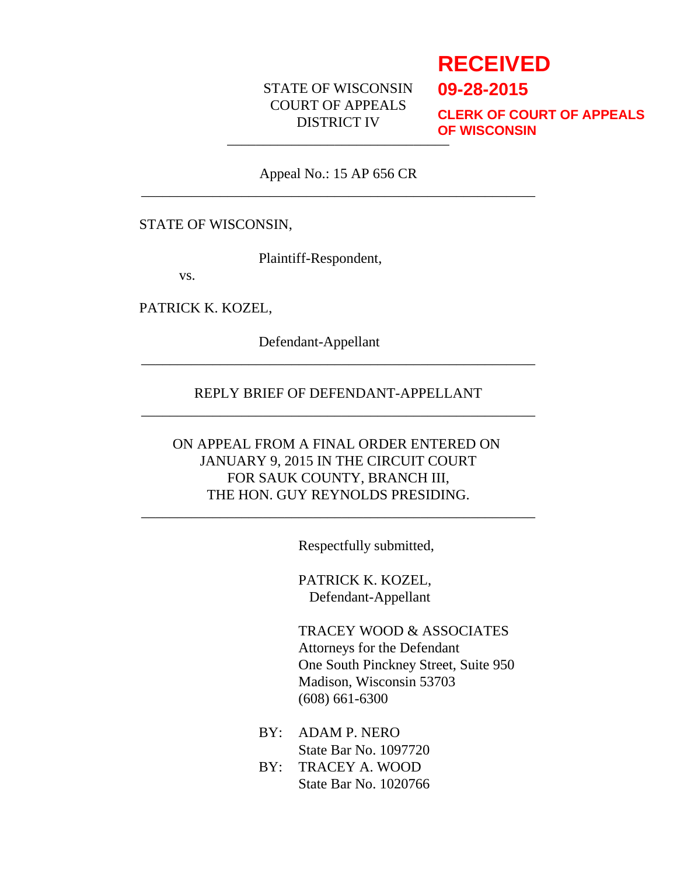# STATE OF WISCONSIN COURT OF APPEALS DISTRICT IV

# **RECEIVED**

**09-28-2015**

\_\_\_\_\_\_\_\_\_\_\_\_\_\_\_\_\_\_\_\_\_\_\_\_\_\_\_\_\_\_\_ **CLERK OF COURT OF APPEALS OF WISCONSIN**

Appeal No.: 15 AP 656 CR \_\_\_\_\_\_\_\_\_\_\_\_\_\_\_\_\_\_\_\_\_\_\_\_\_\_\_\_\_\_\_\_\_\_\_\_\_\_\_\_\_\_\_\_\_\_\_\_\_\_\_\_\_\_\_

#### STATE OF WISCONSIN,

Plaintiff-Respondent,

vs.

PATRICK K. KOZEL,

Defendant-Appellant

#### REPLY BRIEF OF DEFENDANT-APPELLANT \_\_\_\_\_\_\_\_\_\_\_\_\_\_\_\_\_\_\_\_\_\_\_\_\_\_\_\_\_\_\_\_\_\_\_\_\_\_\_\_\_\_\_\_\_\_\_\_\_\_\_\_\_\_\_

\_\_\_\_\_\_\_\_\_\_\_\_\_\_\_\_\_\_\_\_\_\_\_\_\_\_\_\_\_\_\_\_\_\_\_\_\_\_\_\_\_\_\_\_\_\_\_\_\_\_\_\_\_\_\_

# ON APPEAL FROM A FINAL ORDER ENTERED ON JANUARY 9, 2015 IN THE CIRCUIT COURT FOR SAUK COUNTY, BRANCH III, THE HON. GUY REYNOLDS PRESIDING.

\_\_\_\_\_\_\_\_\_\_\_\_\_\_\_\_\_\_\_\_\_\_\_\_\_\_\_\_\_\_\_\_\_\_\_\_\_\_\_\_\_\_\_\_\_\_\_\_\_\_\_\_\_\_\_

Respectfully submitted,

PATRICK K. KOZEL, Defendant-Appellant

TRACEY WOOD & ASSOCIATES Attorneys for the Defendant One South Pinckney Street, Suite 950 Madison, Wisconsin 53703 (608) 661-6300

- BY: ADAM P. NERO State Bar No. 1097720
- BY: TRACEY A. WOOD State Bar No. 1020766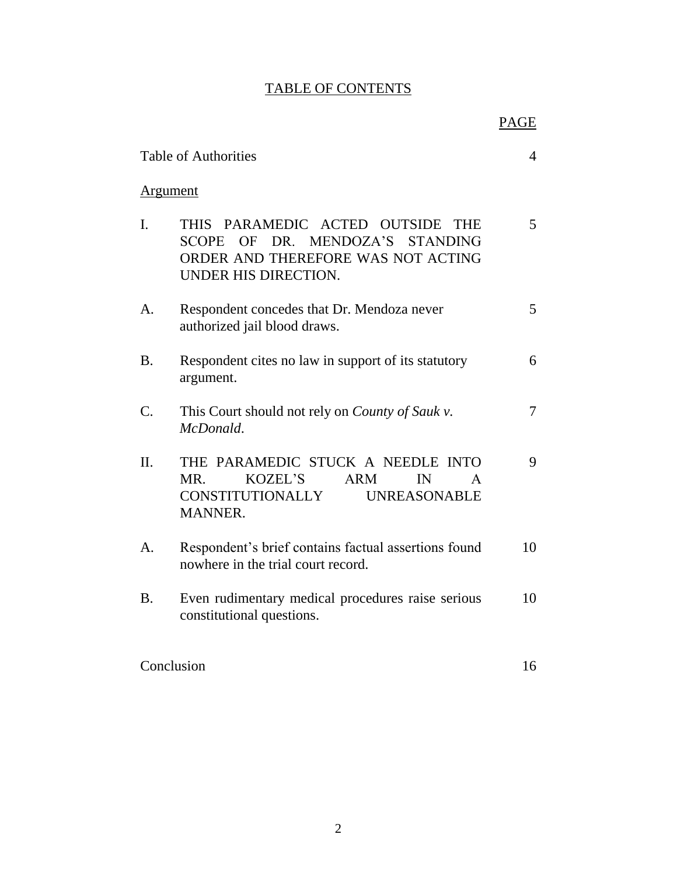# TABLE OF CONTENTS

|                                                                                                                                                                          | <b>PAGE</b> |
|--------------------------------------------------------------------------------------------------------------------------------------------------------------------------|-------------|
| <b>Table of Authorities</b>                                                                                                                                              | 4           |
| <b>Argument</b>                                                                                                                                                          |             |
| I.<br>PARAMEDIC ACTED OUTSIDE<br><b>THIS</b><br><b>THE</b><br>DR. MENDOZA'S STANDING<br><b>SCOPE</b><br>OF<br>ORDER AND THEREFORE WAS NOT ACTING<br>UNDER HIS DIRECTION. | 5           |
| Respondent concedes that Dr. Mendoza never<br>$\mathsf{A}$ .<br>authorized jail blood draws.                                                                             | 5           |
| <b>B.</b><br>Respondent cites no law in support of its statutory<br>argument.                                                                                            | 6           |
| $\mathcal{C}$ .<br>This Court should not rely on <i>County of Sauk v</i> .<br>McDonald.                                                                                  | 7           |
| THE PARAMEDIC STUCK A NEEDLE INTO<br>II.<br><b>KOZEL'S</b><br><b>ARM</b><br>MR.<br>IN<br><b>UNREASONABLE</b><br><b>CONSTITUTIONALLY</b><br><b>MANNER.</b>                | 9<br>A      |
| Respondent's brief contains factual assertions found<br>$\mathsf{A}$ .<br>nowhere in the trial court record.                                                             | 10          |
| <b>B.</b><br>Even rudimentary medical procedures raise serious<br>constitutional questions.                                                                              | 10          |
| Conclusion                                                                                                                                                               | 16          |
|                                                                                                                                                                          |             |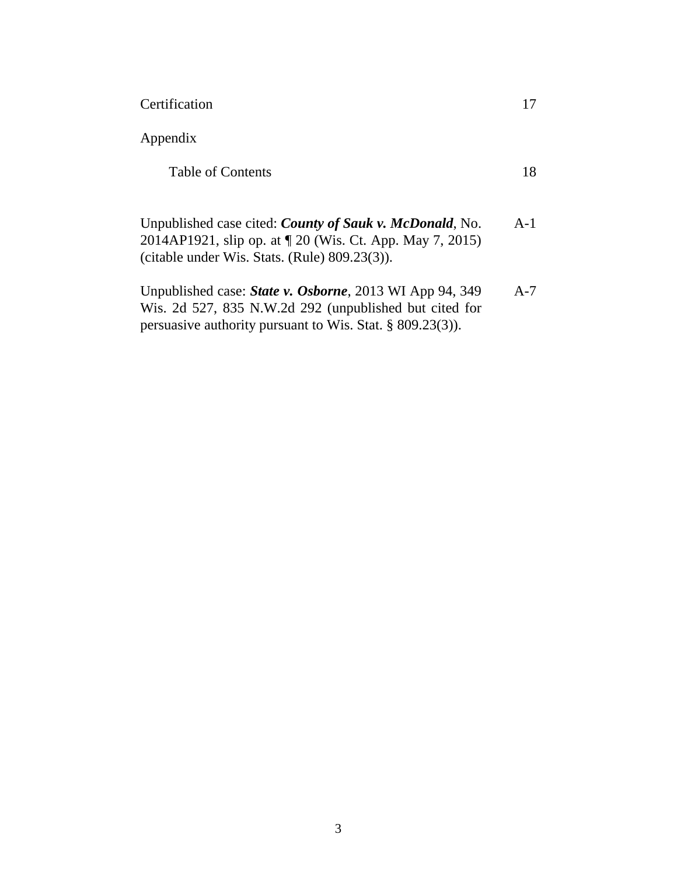Certification

Appendix

Table of Contents

| Unpublished case cited: <i>County of Sauk v. McDonald</i> , No. | $A-1$ |
|-----------------------------------------------------------------|-------|
| 2014AP1921, slip op. at $\sqrt{20}$ (Wis. Ct. App. May 7, 2015) |       |
| (citable under Wis. Stats. (Rule) $809.23(3)$ ).                |       |

| Unpublished case: <i>State v. Osborne</i> , 2013 WI App 94, 349 | $A-7$ |
|-----------------------------------------------------------------|-------|
| Wis. 2d 527, 835 N.W.2d 292 (unpublished but cited for          |       |
| persuasive authority pursuant to Wis. Stat. $\S$ 809.23(3)).    |       |

17

18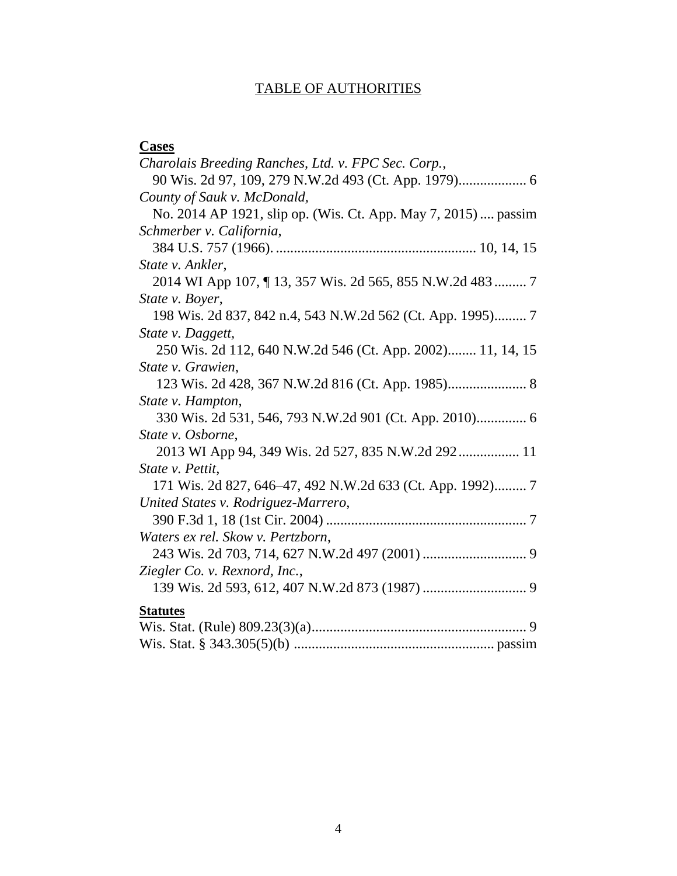# TABLE OF AUTHORITIES

| <b>Cases</b>                                                   |
|----------------------------------------------------------------|
| Charolais Breeding Ranches, Ltd. v. FPC Sec. Corp.,            |
|                                                                |
| County of Sauk v. McDonald,                                    |
| No. 2014 AP 1921, slip op. (Wis. Ct. App. May 7, 2015)  passim |
| Schmerber v. California,                                       |
|                                                                |
| State v. Ankler,                                               |
| 2014 WI App 107, 13, 357 Wis. 2d 565, 855 N.W.2d 483  7        |
| State v. Boyer,                                                |
| 198 Wis. 2d 837, 842 n.4, 543 N.W.2d 562 (Ct. App. 1995) 7     |
| State v. Daggett,                                              |
| 250 Wis. 2d 112, 640 N.W.2d 546 (Ct. App. 2002) 11, 14, 15     |
| State v. Grawien,                                              |
|                                                                |
| State v. Hampton,                                              |
| 330 Wis. 2d 531, 546, 793 N.W.2d 901 (Ct. App. 2010) 6         |
| State v. Osborne,                                              |
| 2013 WI App 94, 349 Wis. 2d 527, 835 N.W.2d 292 11             |
| State v. Pettit,                                               |
| 171 Wis. 2d 827, 646–47, 492 N.W.2d 633 (Ct. App. 1992) 7      |
| United States v. Rodriguez-Marrero,                            |
|                                                                |
| Waters ex rel. Skow v. Pertzborn,                              |
|                                                                |
| Ziegler Co. v. Rexnord, Inc.,                                  |
|                                                                |
| <b>Statutes</b>                                                |
|                                                                |
|                                                                |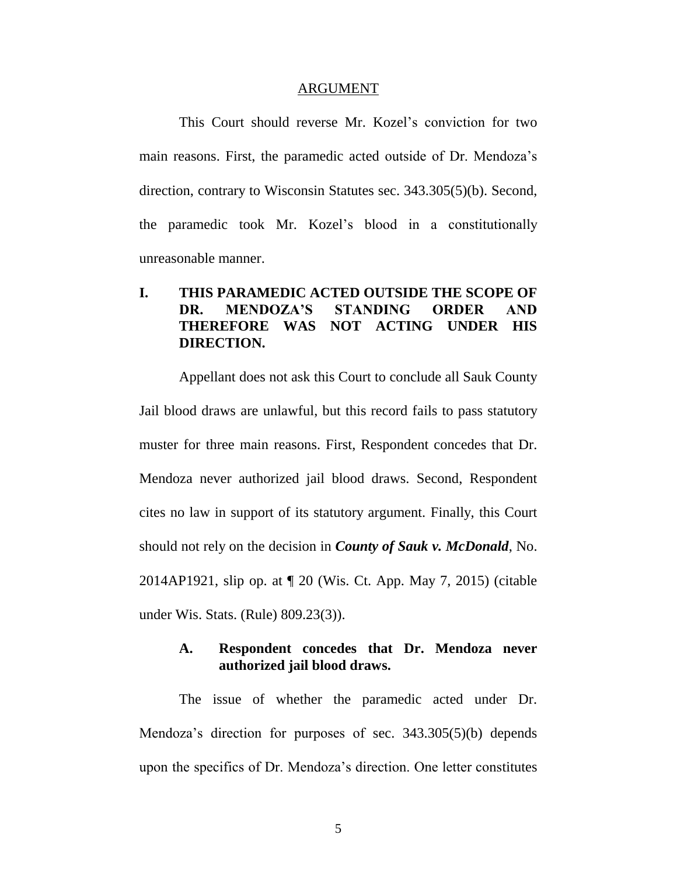#### ARGUMENT

This Court should reverse Mr. Kozel's conviction for two main reasons. First, the paramedic acted outside of Dr. Mendoza's direction, contrary to Wisconsin Statutes sec. 343.305(5)(b). Second, the paramedic took Mr. Kozel's blood in a constitutionally unreasonable manner.

# **I. THIS PARAMEDIC ACTED OUTSIDE THE SCOPE OF DR. MENDOZA'S STANDING ORDER AND THEREFORE WAS NOT ACTING UNDER HIS DIRECTION.**

Appellant does not ask this Court to conclude all Sauk County Jail blood draws are unlawful, but this record fails to pass statutory muster for three main reasons. First, Respondent concedes that Dr. Mendoza never authorized jail blood draws. Second, Respondent cites no law in support of its statutory argument. Finally, this Court should not rely on the decision in *County of Sauk v. McDonald*, No. 2014AP1921, slip op. at ¶ 20 (Wis. Ct. App. May 7, 2015) (citable under Wis. Stats. (Rule) 809.23(3)).

#### **A. Respondent concedes that Dr. Mendoza never authorized jail blood draws.**

The issue of whether the paramedic acted under Dr. Mendoza's direction for purposes of sec. 343.305(5)(b) depends upon the specifics of Dr. Mendoza's direction. One letter constitutes

5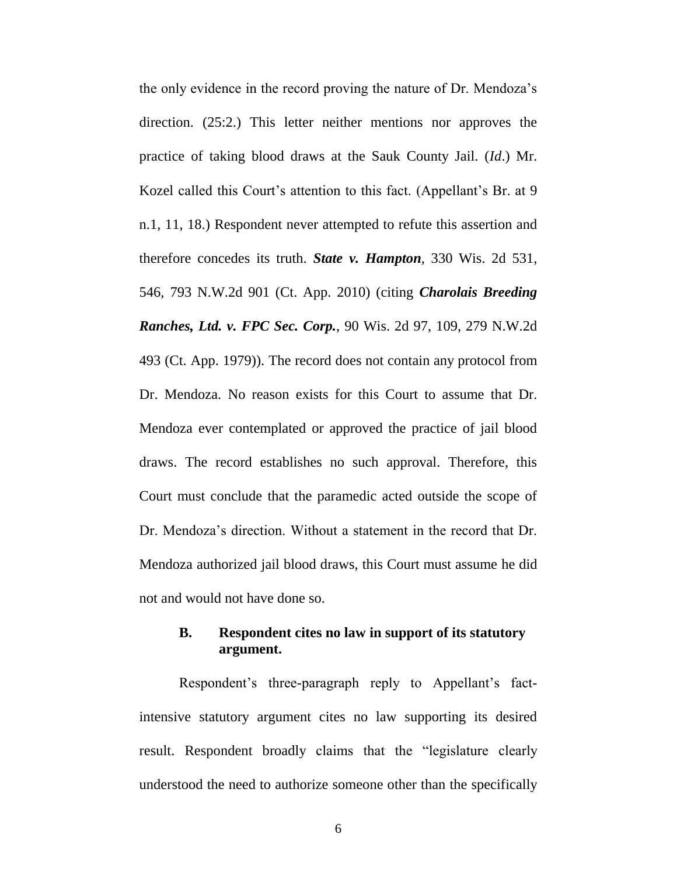the only evidence in the record proving the nature of Dr. Mendoza's direction. (25:2.) This letter neither mentions nor approves the practice of taking blood draws at the Sauk County Jail. (*Id*.) Mr. Kozel called this Court's attention to this fact. (Appellant's Br. at 9 n.1, 11, 18.) Respondent never attempted to refute this assertion and therefore concedes its truth. *State v. Hampton*, 330 Wis. 2d 531, 546, 793 N.W.2d 901 (Ct. App. 2010) (citing *Charolais Breeding Ranches, Ltd. v. FPC Sec. Corp.*, 90 Wis. 2d 97, 109, 279 N.W.2d 493 (Ct. App. 1979)). The record does not contain any protocol from Dr. Mendoza. No reason exists for this Court to assume that Dr. Mendoza ever contemplated or approved the practice of jail blood draws. The record establishes no such approval. Therefore, this Court must conclude that the paramedic acted outside the scope of Dr. Mendoza's direction. Without a statement in the record that Dr. Mendoza authorized jail blood draws, this Court must assume he did not and would not have done so.

# **B. Respondent cites no law in support of its statutory argument.**

Respondent's three-paragraph reply to Appellant's factintensive statutory argument cites no law supporting its desired result. Respondent broadly claims that the "legislature clearly understood the need to authorize someone other than the specifically

6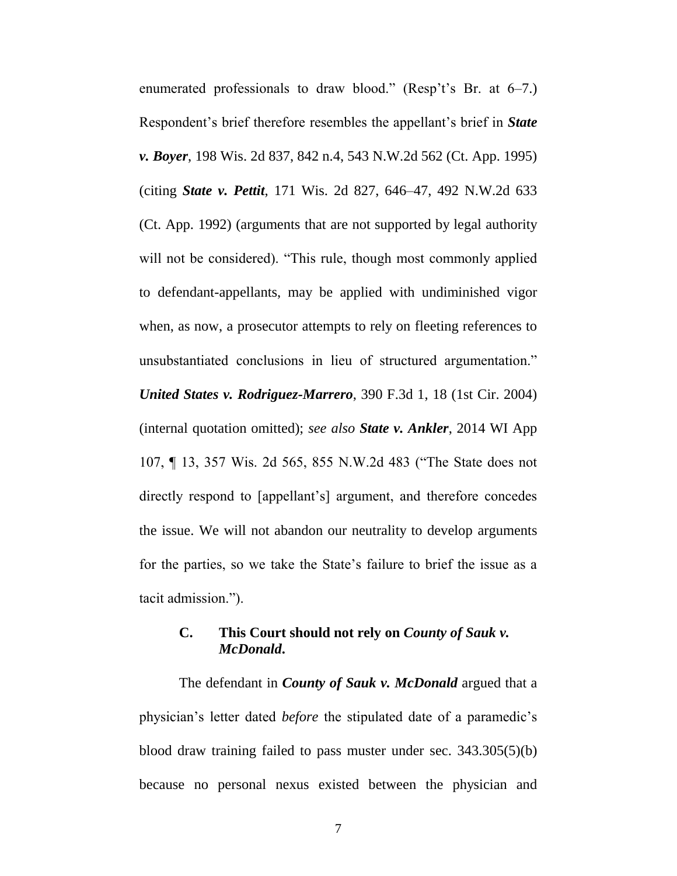enumerated professionals to draw blood." (Resp't's Br. at 6–7.) Respondent's brief therefore resembles the appellant's brief in *State v. Boyer*, 198 Wis. 2d 837, 842 n.4, 543 N.W.2d 562 (Ct. App. 1995) (citing *State v. Pettit*, 171 Wis. 2d 827, 646–47, 492 N.W.2d 633 (Ct. App. 1992) (arguments that are not supported by legal authority will not be considered). "This rule, though most commonly applied to defendant-appellants, may be applied with undiminished vigor when, as now, a prosecutor attempts to rely on fleeting references to unsubstantiated conclusions in lieu of structured argumentation." *United States v. Rodriguez-Marrero*, 390 F.3d 1, 18 (1st Cir. 2004) (internal quotation omitted); *see also State v. Ankler*, 2014 WI App 107, ¶ 13, 357 Wis. 2d 565, 855 N.W.2d 483 ("The State does not directly respond to [appellant's] argument, and therefore concedes the issue. We will not abandon our neutrality to develop arguments for the parties, so we take the State's failure to brief the issue as a tacit admission.").

# **C. This Court should not rely on** *County of Sauk v. McDonald***.**

The defendant in *County of Sauk v. McDonald* argued that a physician's letter dated *before* the stipulated date of a paramedic's blood draw training failed to pass muster under sec. 343.305(5)(b) because no personal nexus existed between the physician and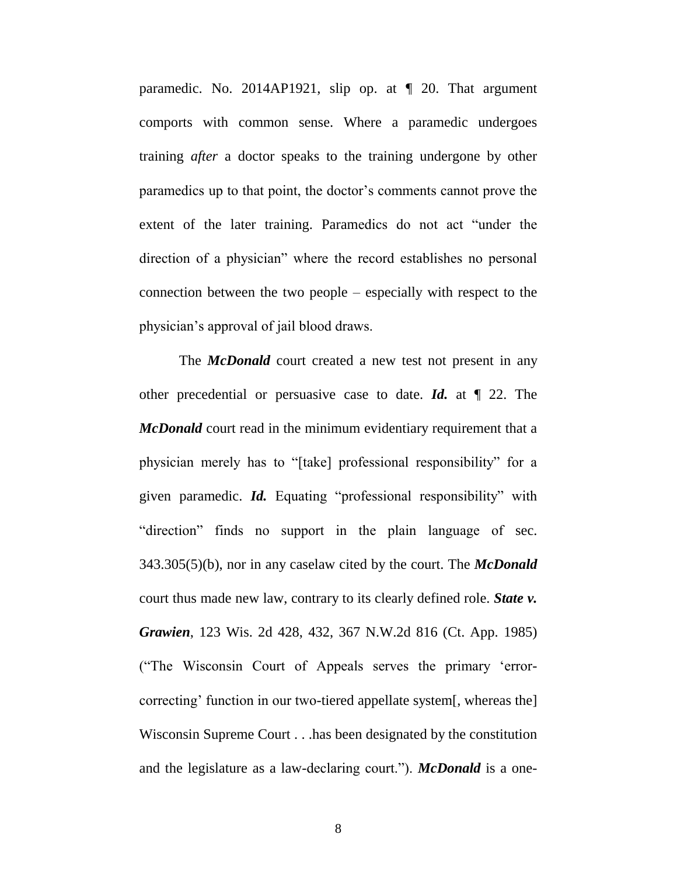paramedic. No. 2014AP1921, slip op. at ¶ 20. That argument comports with common sense. Where a paramedic undergoes training *after* a doctor speaks to the training undergone by other paramedics up to that point, the doctor's comments cannot prove the extent of the later training. Paramedics do not act "under the direction of a physician" where the record establishes no personal connection between the two people – especially with respect to the physician's approval of jail blood draws.

The *McDonald* court created a new test not present in any other precedential or persuasive case to date. *Id.* at ¶ 22. The *McDonald* court read in the minimum evidentiary requirement that a physician merely has to "[take] professional responsibility" for a given paramedic. *Id.* Equating "professional responsibility" with "direction" finds no support in the plain language of sec. 343.305(5)(b), nor in any caselaw cited by the court. The *McDonald*  court thus made new law, contrary to its clearly defined role. *State v. Grawien*, 123 Wis. 2d 428, 432, 367 N.W.2d 816 (Ct. App. 1985) ("The Wisconsin Court of Appeals serves the primary 'errorcorrecting' function in our two-tiered appellate system[, whereas the] Wisconsin Supreme Court . . .has been designated by the constitution and the legislature as a law-declaring court."). *McDonald* is a one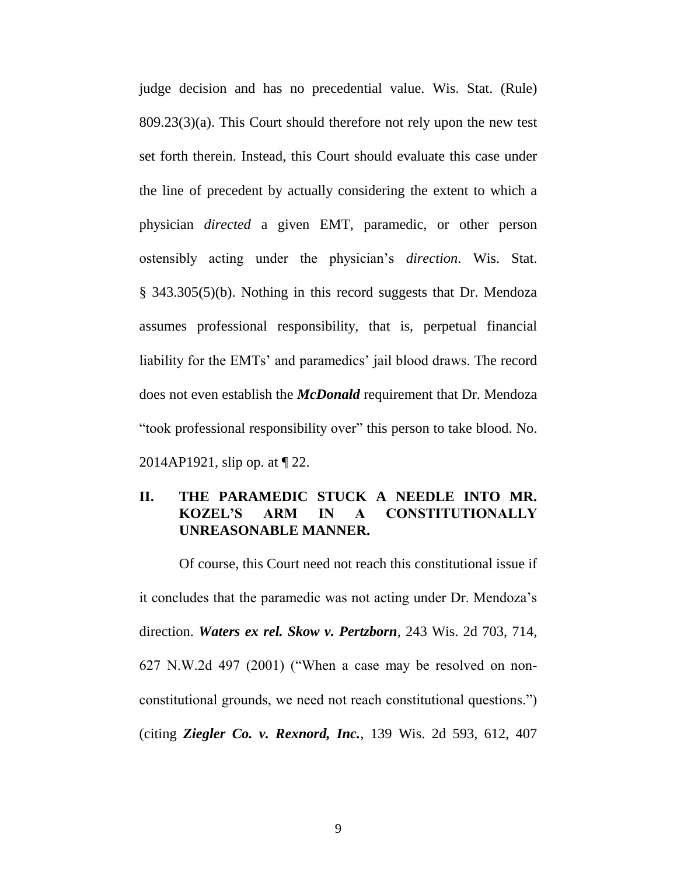judge decision and has no precedential value. Wis. Stat. (Rule) 809.23(3)(a). This Court should therefore not rely upon the new test set forth therein. Instead, this Court should evaluate this case under the line of precedent by actually considering the extent to which a physician *directed* a given EMT, paramedic, or other person ostensibly acting under the physician's *direction*. Wis. Stat. § 343.305(5)(b). Nothing in this record suggests that Dr. Mendoza assumes professional responsibility, that is, perpetual financial liability for the EMTs' and paramedics' jail blood draws. The record does not even establish the *McDonald* requirement that Dr. Mendoza "took professional responsibility over" this person to take blood. No. 2014AP1921, slip op. at ¶ 22.

# **II. THE PARAMEDIC STUCK A NEEDLE INTO MR. KOZEL'S ARM IN A CONSTITUTIONALLY UNREASONABLE MANNER.**

Of course, this Court need not reach this constitutional issue if it concludes that the paramedic was not acting under Dr. Mendoza's direction. *Waters ex rel. Skow v. Pertzborn*, 243 Wis. 2d 703, 714, 627 N.W.2d 497 (2001) ("When a case may be resolved on nonconstitutional grounds, we need not reach constitutional questions.") (citing *Ziegler Co. v. Rexnord, Inc.*, 139 Wis. 2d 593, 612, 407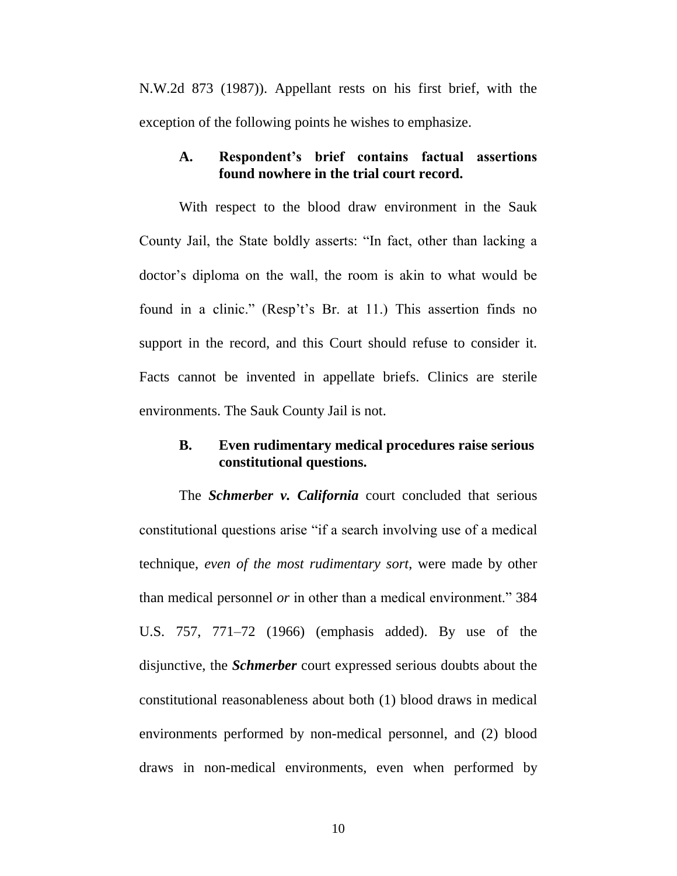N.W.2d 873 (1987)). Appellant rests on his first brief, with the exception of the following points he wishes to emphasize.

#### **A. Respondent's brief contains factual assertions found nowhere in the trial court record.**

With respect to the blood draw environment in the Sauk County Jail, the State boldly asserts: "In fact, other than lacking a doctor's diploma on the wall, the room is akin to what would be found in a clinic." (Resp't's Br. at 11.) This assertion finds no support in the record, and this Court should refuse to consider it. Facts cannot be invented in appellate briefs. Clinics are sterile environments. The Sauk County Jail is not.

#### **B. Even rudimentary medical procedures raise serious constitutional questions.**

The *Schmerber v. California* court concluded that serious constitutional questions arise "if a search involving use of a medical technique, *even of the most rudimentary sort*, were made by other than medical personnel *or* in other than a medical environment." 384 U.S. 757, 771–72 (1966) (emphasis added). By use of the disjunctive, the *Schmerber* court expressed serious doubts about the constitutional reasonableness about both (1) blood draws in medical environments performed by non-medical personnel, and (2) blood draws in non-medical environments, even when performed by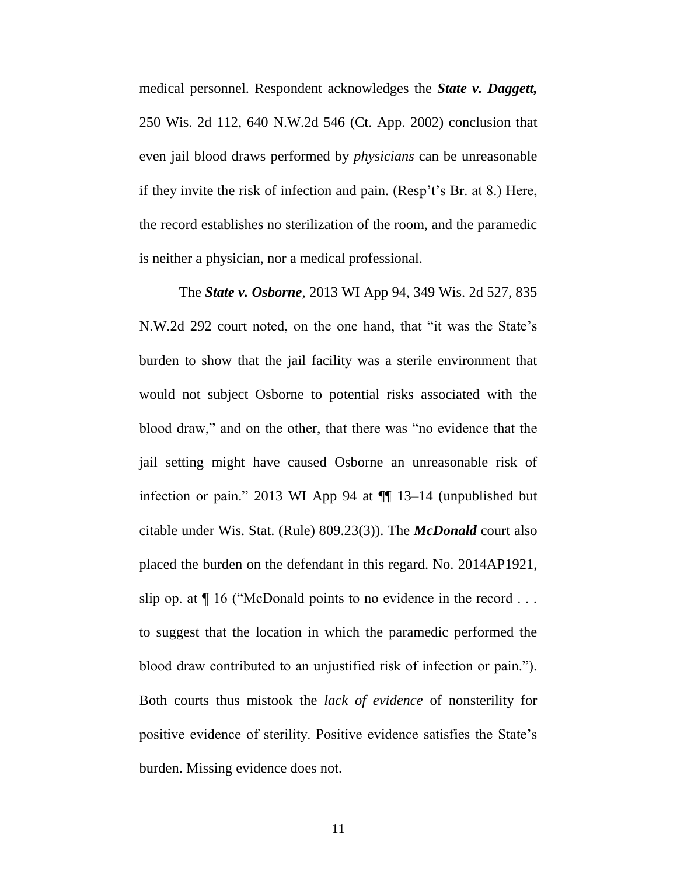medical personnel. Respondent acknowledges the *State v. Daggett,*  250 Wis. 2d 112, 640 N.W.2d 546 (Ct. App. 2002) conclusion that even jail blood draws performed by *physicians* can be unreasonable if they invite the risk of infection and pain. (Resp't's Br. at 8.) Here, the record establishes no sterilization of the room, and the paramedic is neither a physician, nor a medical professional.

The *State v. Osborne*, 2013 WI App 94, 349 Wis. 2d 527, 835 N.W.2d 292 court noted, on the one hand, that "it was the State's burden to show that the jail facility was a sterile environment that would not subject Osborne to potential risks associated with the blood draw," and on the other, that there was "no evidence that the jail setting might have caused Osborne an unreasonable risk of infection or pain." 2013 WI App 94 at ¶¶ 13–14 (unpublished but citable under Wis. Stat. (Rule) 809.23(3)). The *McDonald* court also placed the burden on the defendant in this regard. No. 2014AP1921, slip op. at  $\P$  16 ("McDonald points to no evidence in the record  $\ldots$ to suggest that the location in which the paramedic performed the blood draw contributed to an unjustified risk of infection or pain."). Both courts thus mistook the *lack of evidence* of nonsterility for positive evidence of sterility. Positive evidence satisfies the State's burden. Missing evidence does not.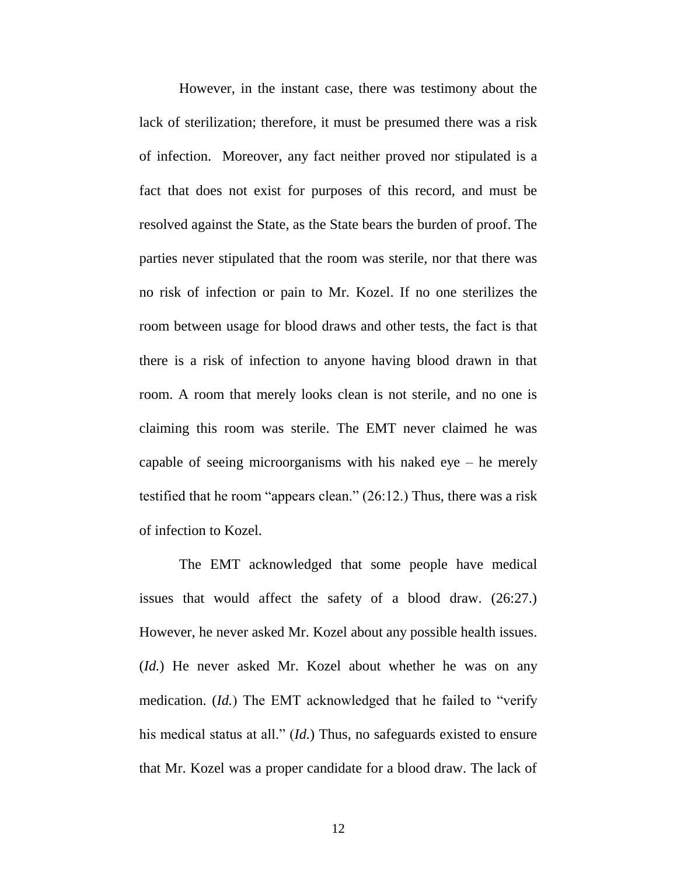However, in the instant case, there was testimony about the lack of sterilization; therefore, it must be presumed there was a risk of infection. Moreover, any fact neither proved nor stipulated is a fact that does not exist for purposes of this record, and must be resolved against the State, as the State bears the burden of proof. The parties never stipulated that the room was sterile, nor that there was no risk of infection or pain to Mr. Kozel. If no one sterilizes the room between usage for blood draws and other tests, the fact is that there is a risk of infection to anyone having blood drawn in that room. A room that merely looks clean is not sterile, and no one is claiming this room was sterile. The EMT never claimed he was capable of seeing microorganisms with his naked eye – he merely testified that he room "appears clean." (26:12.) Thus, there was a risk of infection to Kozel.

The EMT acknowledged that some people have medical issues that would affect the safety of a blood draw. (26:27.) However, he never asked Mr. Kozel about any possible health issues. (*Id.*) He never asked Mr. Kozel about whether he was on any medication. (*Id.*) The EMT acknowledged that he failed to "verify his medical status at all." (*Id.*) Thus, no safeguards existed to ensure that Mr. Kozel was a proper candidate for a blood draw. The lack of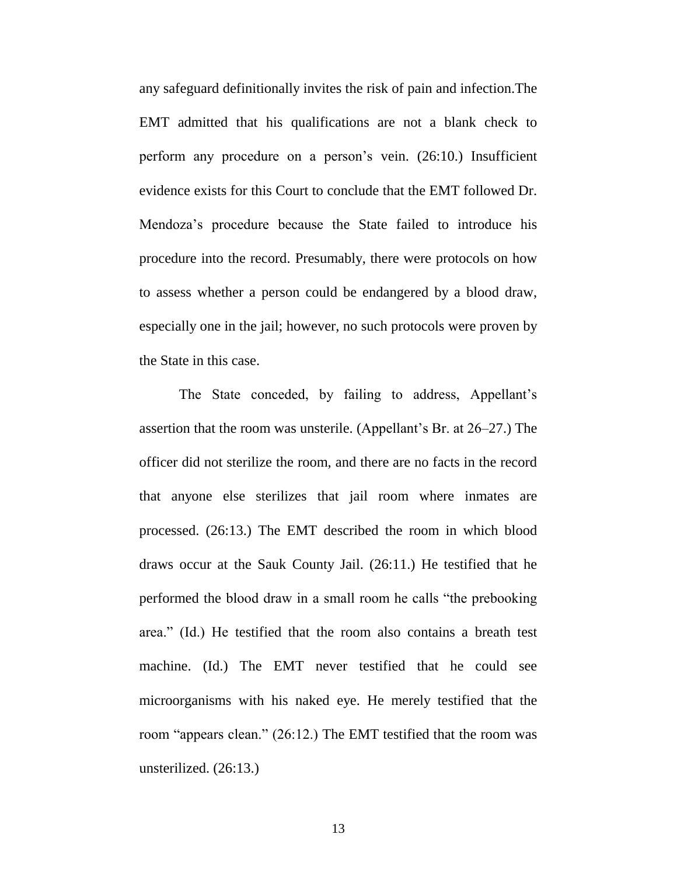any safeguard definitionally invites the risk of pain and infection.The EMT admitted that his qualifications are not a blank check to perform any procedure on a person's vein. (26:10.) Insufficient evidence exists for this Court to conclude that the EMT followed Dr. Mendoza's procedure because the State failed to introduce his procedure into the record. Presumably, there were protocols on how to assess whether a person could be endangered by a blood draw, especially one in the jail; however, no such protocols were proven by the State in this case.

The State conceded, by failing to address, Appellant's assertion that the room was unsterile. (Appellant's Br. at 26–27.) The officer did not sterilize the room, and there are no facts in the record that anyone else sterilizes that jail room where inmates are processed. (26:13.) The EMT described the room in which blood draws occur at the Sauk County Jail. (26:11.) He testified that he performed the blood draw in a small room he calls "the prebooking area." (Id.) He testified that the room also contains a breath test machine. (Id.) The EMT never testified that he could see microorganisms with his naked eye. He merely testified that the room "appears clean." (26:12.) The EMT testified that the room was unsterilized. (26:13.)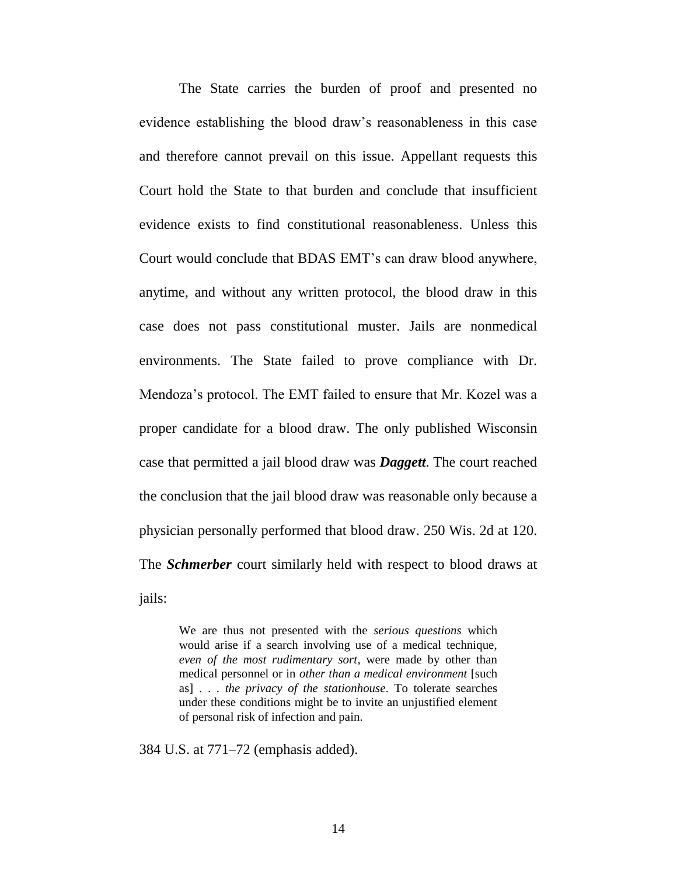The State carries the burden of proof and presented no evidence establishing the blood draw's reasonableness in this case and therefore cannot prevail on this issue. Appellant requests this Court hold the State to that burden and conclude that insufficient evidence exists to find constitutional reasonableness. Unless this Court would conclude that BDAS EMT's can draw blood anywhere, anytime, and without any written protocol, the blood draw in this case does not pass constitutional muster. Jails are nonmedical environments. The State failed to prove compliance with Dr. Mendoza's protocol. The EMT failed to ensure that Mr. Kozel was a proper candidate for a blood draw. The only published Wisconsin case that permitted a jail blood draw was *Daggett*. The court reached the conclusion that the jail blood draw was reasonable only because a physician personally performed that blood draw. 250 Wis. 2d at 120. The *Schmerber* court similarly held with respect to blood draws at jails:

> We are thus not presented with the *serious questions* which would arise if a search involving use of a medical technique, *even of the most rudimentary sort*, were made by other than medical personnel or in *other than a medical environment* [such as] . . . *the privacy of the stationhouse*. To tolerate searches under these conditions might be to invite an unjustified element of personal risk of infection and pain.

384 U.S. at 771–72 (emphasis added).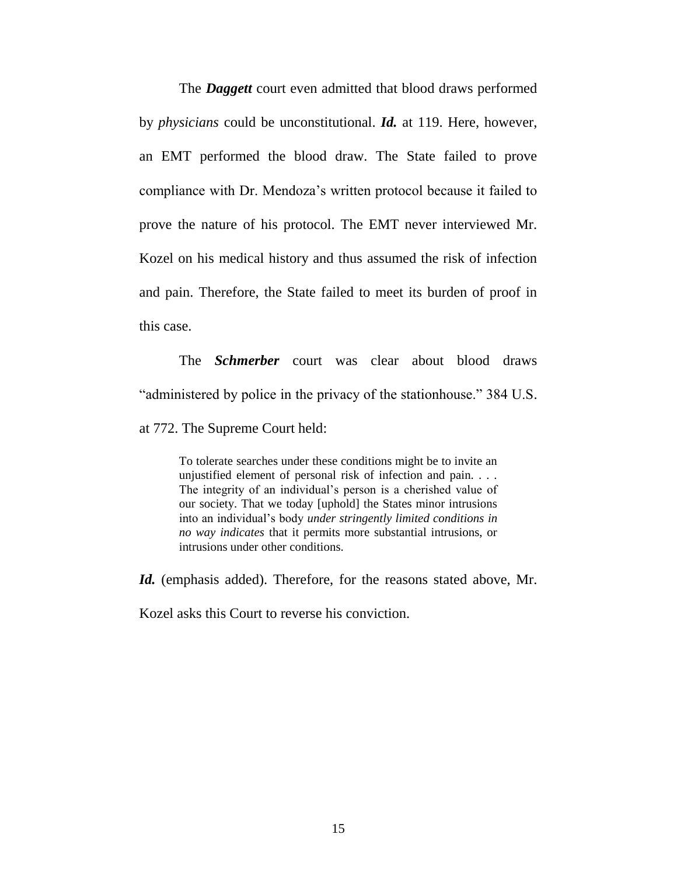The *Daggett* court even admitted that blood draws performed by *physicians* could be unconstitutional. *Id.* at 119. Here, however, an EMT performed the blood draw. The State failed to prove compliance with Dr. Mendoza's written protocol because it failed to prove the nature of his protocol. The EMT never interviewed Mr. Kozel on his medical history and thus assumed the risk of infection and pain. Therefore, the State failed to meet its burden of proof in this case.

The *Schmerber* court was clear about blood draws "administered by police in the privacy of the stationhouse." 384 U.S. at 772. The Supreme Court held:

To tolerate searches under these conditions might be to invite an unjustified element of personal risk of infection and pain. . . . The integrity of an individual's person is a cherished value of our society. That we today [uphold] the States minor intrusions into an individual's body *under stringently limited conditions in no way indicates* that it permits more substantial intrusions, or intrusions under other conditions.

Id. (emphasis added). Therefore, for the reasons stated above, Mr.

Kozel asks this Court to reverse his conviction.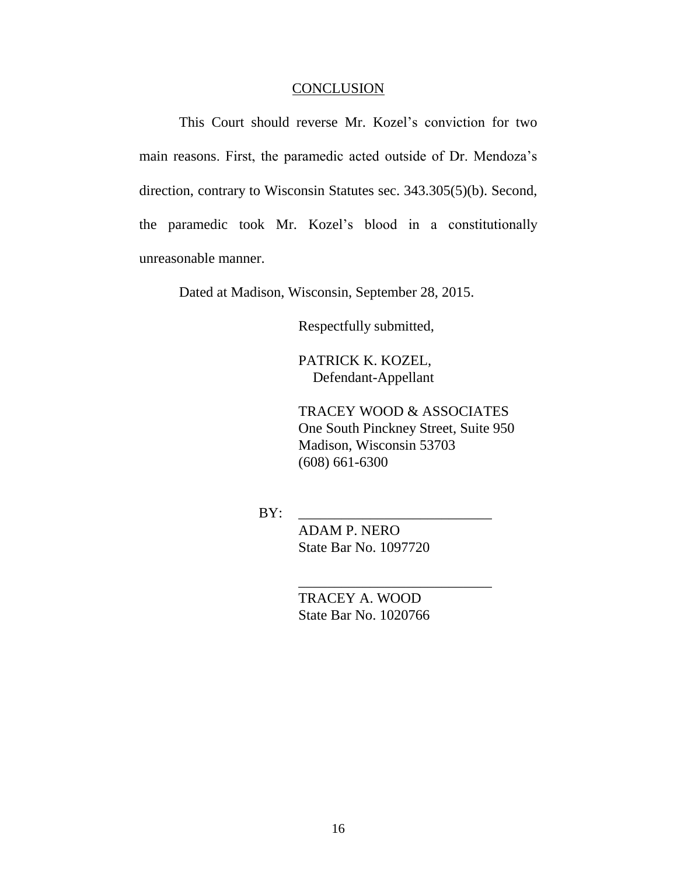#### **CONCLUSION**

This Court should reverse Mr. Kozel's conviction for two main reasons. First, the paramedic acted outside of Dr. Mendoza's direction, contrary to Wisconsin Statutes sec. 343.305(5)(b). Second, the paramedic took Mr. Kozel's blood in a constitutionally unreasonable manner.

Dated at Madison, Wisconsin, September 28, 2015.

Respectfully submitted,

PATRICK K. KOZEL, Defendant-Appellant

TRACEY WOOD & ASSOCIATES One South Pinckney Street, Suite 950 Madison, Wisconsin 53703 (608) 661-6300

BY: \_\_\_\_\_\_\_\_\_\_\_\_\_\_\_\_\_\_\_\_\_\_\_\_\_\_\_

ADAM P. NERO State Bar No. 1097720

 TRACEY A. WOOD State Bar No. 1020766

\_\_\_\_\_\_\_\_\_\_\_\_\_\_\_\_\_\_\_\_\_\_\_\_\_\_\_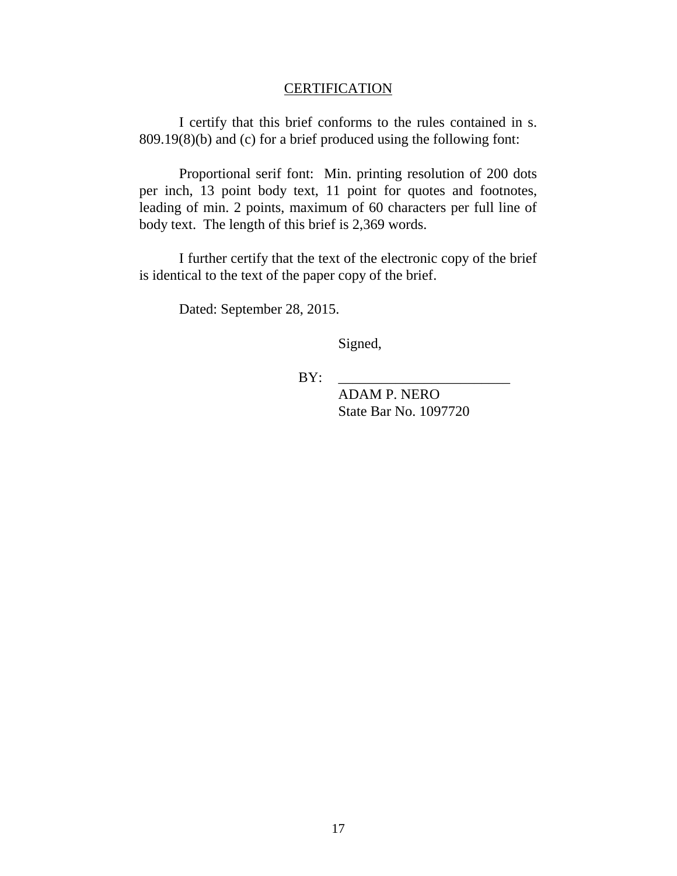# **CERTIFICATION**

I certify that this brief conforms to the rules contained in s. 809.19(8)(b) and (c) for a brief produced using the following font:

Proportional serif font: Min. printing resolution of 200 dots per inch, 13 point body text, 11 point for quotes and footnotes, leading of min. 2 points, maximum of 60 characters per full line of body text. The length of this brief is 2,369 words.

I further certify that the text of the electronic copy of the brief is identical to the text of the paper copy of the brief.

Dated: September 28, 2015.

Signed,

 $BY:$ 

ADAM P. NERO State Bar No. 1097720